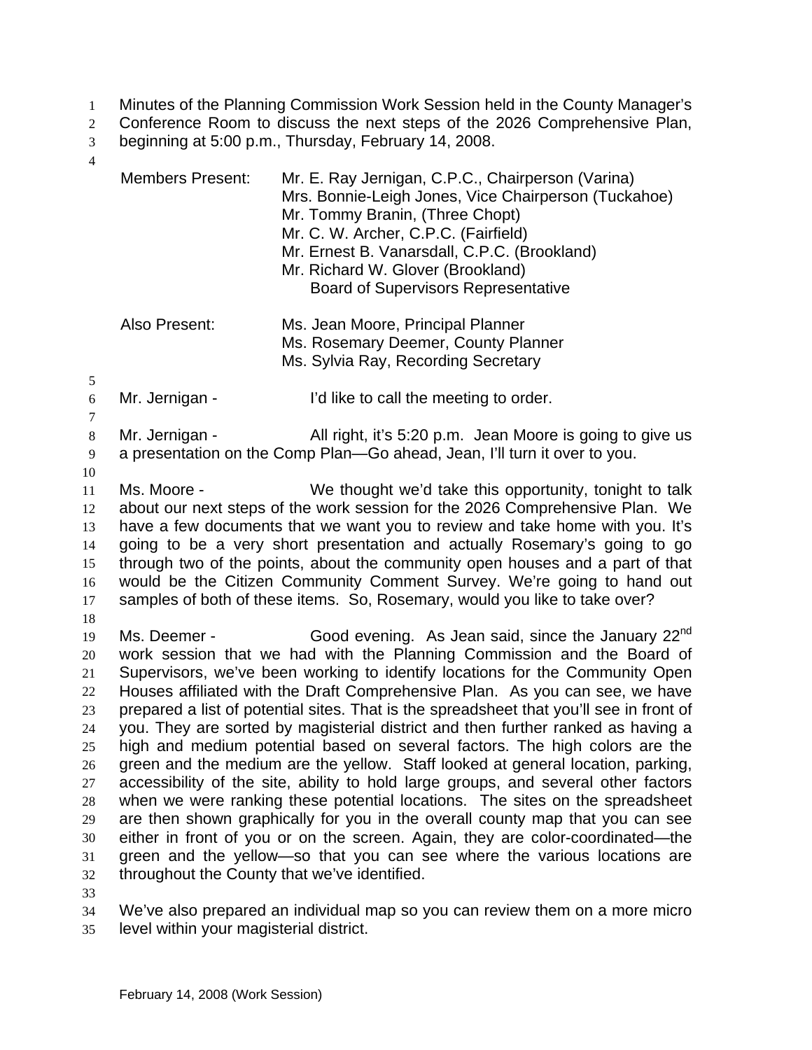- Minutes of the Planning Commission Work Session held in the County Manager's 1
- Conference Room to discuss the next steps of the 2026 Comprehensive Plan,  $\mathcal{L}$
- beginning at 5:00 p.m., Thursday, February 14, 2008. 3
- 4

| <b>Members Present:</b> | Mr. E. Ray Jernigan, C.P.C., Chairperson (Varina)<br>Mrs. Bonnie-Leigh Jones, Vice Chairperson (Tuckahoe)<br>Mr. Tommy Branin, (Three Chopt)<br>Mr. C. W. Archer, C.P.C. (Fairfield)<br>Mr. Ernest B. Vanarsdall, C.P.C. (Brookland)<br>Mr. Richard W. Glover (Brookland)<br><b>Board of Supervisors Representative</b> |
|-------------------------|-------------------------------------------------------------------------------------------------------------------------------------------------------------------------------------------------------------------------------------------------------------------------------------------------------------------------|
| Also Present:           | Ms. Jean Moore, Principal Planner<br>Ms. Rosemary Deemer, County Planner<br>Ms. Sylvia Ray, Recording Secretary                                                                                                                                                                                                         |
| Mr. Jernigan -          | I'd like to call the meeting to order.                                                                                                                                                                                                                                                                                  |
| Mr. Jernigan -          | All right, it's 5:20 p.m. Jean Moore is going to give us<br>a presentation on the Comp Plan-Go ahead, Jean, I'll turn it over to you.                                                                                                                                                                                   |
| Ms. Moore -             | We thought we'd take this opportunity, tonight to talk<br>about our next steps of the work session for the 2026 Comprehensive Plan. We                                                                                                                                                                                  |

- 12 13 14 15 16 17 about our next steps of the work session for the 2026 Comprehensive Plan. We have a few documents that we want you to review and take home with you. It's going to be a very short presentation and actually Rosemary's going to go through two of the points, about the community open houses and a part of that would be the Citizen Community Comment Survey. We're going to hand out samples of both of these items. So, Rosemary, would you like to take over?
- 18

19 20 21 22 23 24 25 26 27 28 29 30 31 32 Ms. Deemer - Good evening. As Jean said, since the January 22<sup>nd</sup> work session that we had with the Planning Commission and the Board of Supervisors, we've been working to identify locations for the Community Open Houses affiliated with the Draft Comprehensive Plan. As you can see, we have prepared a list of potential sites. That is the spreadsheet that you'll see in front of you. They are sorted by magisterial district and then further ranked as having a high and medium potential based on several factors. The high colors are the green and the medium are the yellow. Staff looked at general location, parking, accessibility of the site, ability to hold large groups, and several other factors when we were ranking these potential locations. The sites on the spreadsheet are then shown graphically for you in the overall county map that you can see either in front of you or on the screen. Again, they are color-coordinated—the green and the yellow—so that you can see where the various locations are throughout the County that we've identified.

33

34 We've also prepared an individual map so you can review them on a more micro

35 level within your magisterial district.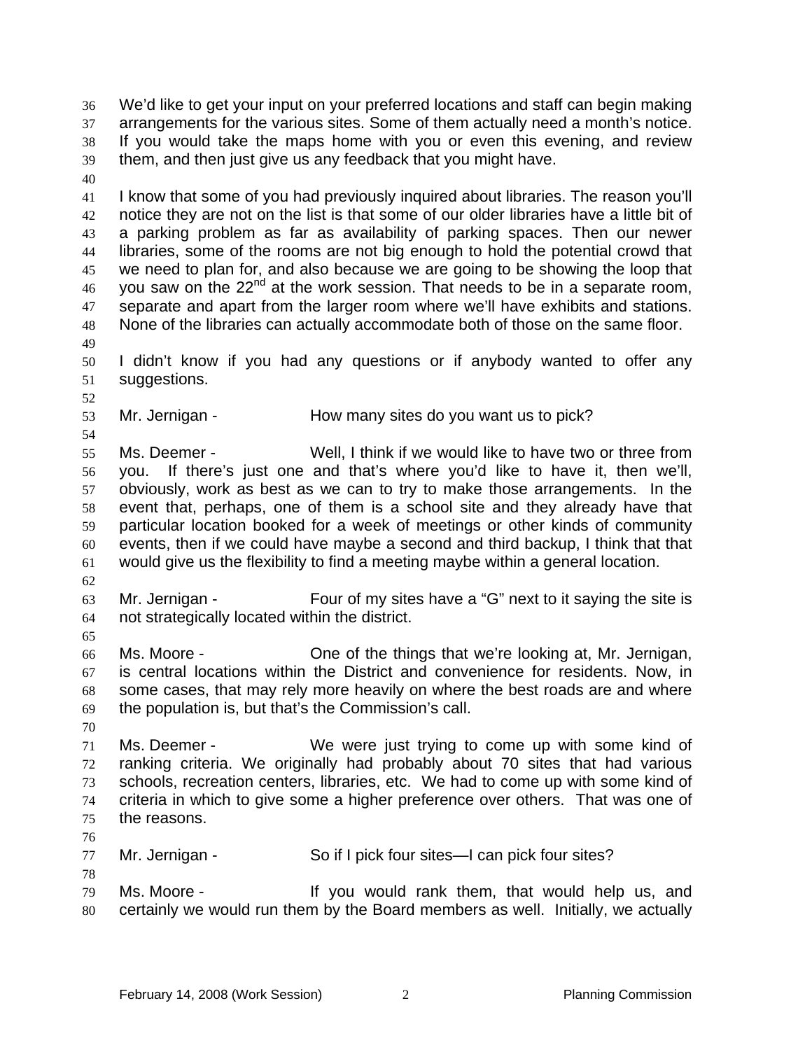We'd like to get your input on your preferred locations and staff can begin making arrangements for the various sites. Some of them actually need a month's notice. If you would take the maps home with you or even this evening, and review them, and then just give us any feedback that you might have. 36 37 38 39 40 41 42 43 44 45 46 47 I know that some of you had previously inquired about libraries. The reason you'll notice they are not on the list is that some of our older libraries have a little bit of a parking problem as far as availability of parking spaces. Then our newer libraries, some of the rooms are not big enough to hold the potential crowd that we need to plan for, and also because we are going to be showing the loop that you saw on the 22<sup>nd</sup> at the work session. That needs to be in a separate room, separate and apart from the larger room where we'll have exhibits and stations.

48 None of the libraries can actually accommodate both of those on the same floor.

50 51 I didn't know if you had any questions or if anybody wanted to offer any suggestions.

53 Mr. Jernigan - The How many sites do you want us to pick?

55 56 57 58 59 60 61 Ms. Deemer - Well, I think if we would like to have two or three from you. If there's just one and that's where you'd like to have it, then we'll, obviously, work as best as we can to try to make those arrangements. In the event that, perhaps, one of them is a school site and they already have that particular location booked for a week of meetings or other kinds of community events, then if we could have maybe a second and third backup, I think that that would give us the flexibility to find a meeting maybe within a general location.

62

65

49

52

54

63 64 Mr. Jernigan - Four of my sites have a "G" next to it saying the site is not strategically located within the district.

66 67 68 69 Ms. Moore - One of the things that we're looking at, Mr. Jernigan, is central locations within the District and convenience for residents. Now, in some cases, that may rely more heavily on where the best roads are and where the population is, but that's the Commission's call.

70

71 72 73 74 75 Ms. Deemer - We were just trying to come up with some kind of ranking criteria. We originally had probably about 70 sites that had various schools, recreation centers, libraries, etc. We had to come up with some kind of criteria in which to give some a higher preference over others. That was one of the reasons.

76

78

77 Mr. Jernigan - So if I pick four sites—I can pick four sites?

79 80 Ms. Moore - The Most of the Would rank them, that would help us, and certainly we would run them by the Board members as well. Initially, we actually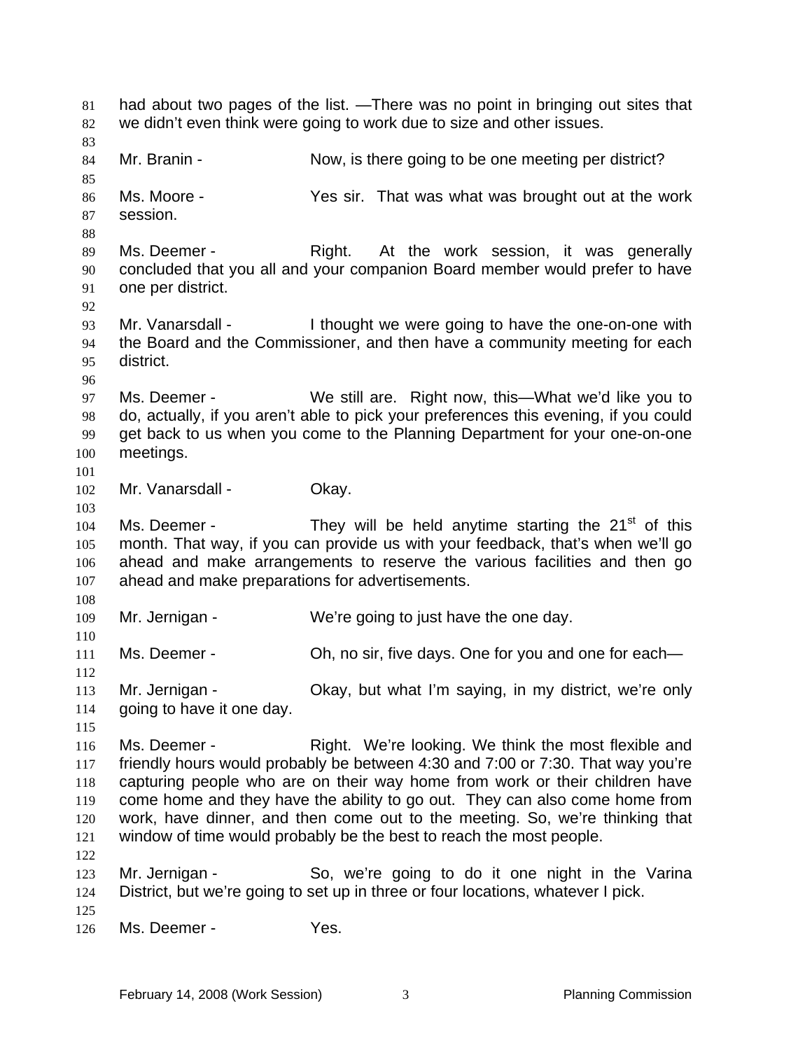had about two pages of the list. —There was no point in bringing out sites that we didn't even think were going to work due to size and other issues. 81 82 83 84 85 86 87 88 89 90 91 92 93 94 95 96 97 98 99 100 101 102 103 104 105 106 107 108 109 110 111 112 113 114 115 116 117 118 119 120 121 122 123 124 125 126 Mr. Branin - Now, is there going to be one meeting per district? Ms. Moore - The Yes sir. That was what was brought out at the work session. Ms. Deemer - The Right. At the work session, it was generally concluded that you all and your companion Board member would prefer to have one per district. Mr. Vanarsdall - Thought we were going to have the one-on-one with the Board and the Commissioner, and then have a community meeting for each district. Ms. Deemer - We still are. Right now, this—What we'd like you to do, actually, if you aren't able to pick your preferences this evening, if you could get back to us when you come to the Planning Department for your one-on-one meetings. Mr. Vanarsdall - Okay. Ms. Deemer - They will be held anytime starting the  $21<sup>st</sup>$  of this month. That way, if you can provide us with your feedback, that's when we'll go ahead and make arrangements to reserve the various facilities and then go ahead and make preparations for advertisements. Mr. Jernigan - We're going to just have the one day. Ms. Deemer - Oh, no sir, five days. One for you and one for each— Mr. Jernigan - Ckay, but what I'm saying, in my district, we're only going to have it one day. Ms. Deemer - Right. We're looking. We think the most flexible and friendly hours would probably be between 4:30 and 7:00 or 7:30. That way you're capturing people who are on their way home from work or their children have come home and they have the ability to go out. They can also come home from work, have dinner, and then come out to the meeting. So, we're thinking that window of time would probably be the best to reach the most people. Mr. Jernigan - So, we're going to do it one night in the Varina District, but we're going to set up in three or four locations, whatever I pick. Ms. Deemer - Yes.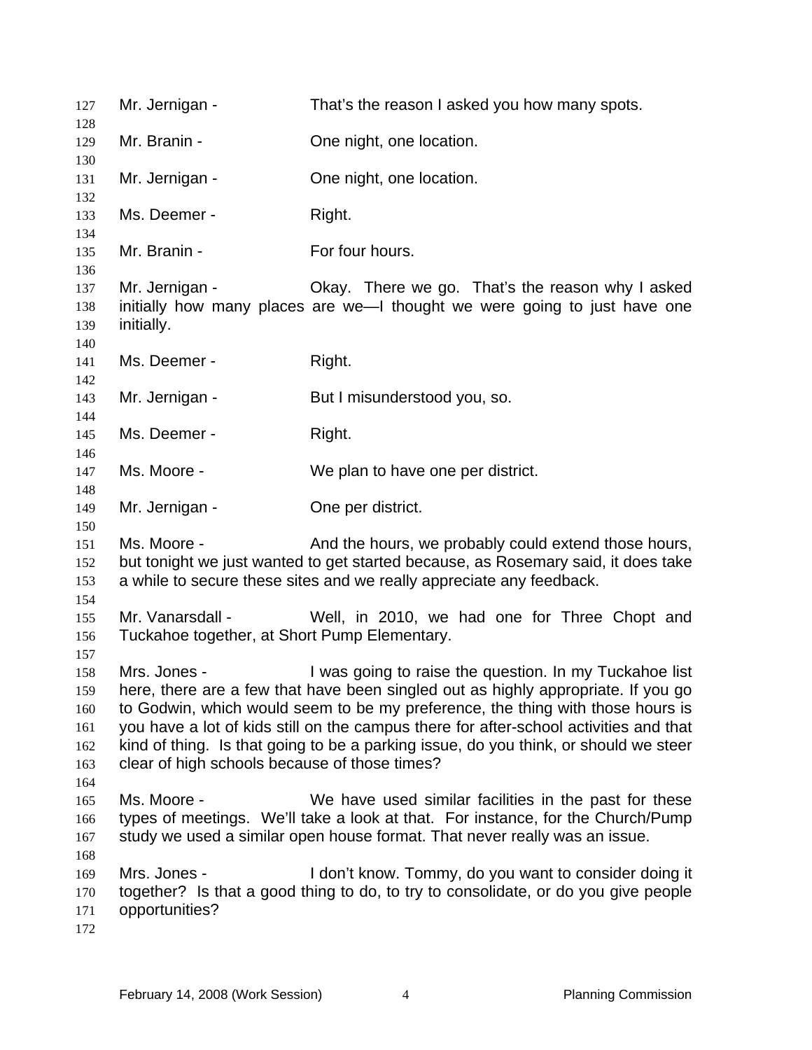| 127                                           | Mr. Jernigan -                                                                                                                                                                                                                                                                                                                                                                                                                                                                  | That's the reason I asked you how many spots.                                                                                                                                                                          |  |
|-----------------------------------------------|---------------------------------------------------------------------------------------------------------------------------------------------------------------------------------------------------------------------------------------------------------------------------------------------------------------------------------------------------------------------------------------------------------------------------------------------------------------------------------|------------------------------------------------------------------------------------------------------------------------------------------------------------------------------------------------------------------------|--|
| 128<br>129                                    | Mr. Branin -                                                                                                                                                                                                                                                                                                                                                                                                                                                                    | One night, one location.                                                                                                                                                                                               |  |
| 130                                           |                                                                                                                                                                                                                                                                                                                                                                                                                                                                                 |                                                                                                                                                                                                                        |  |
| 131<br>132                                    | Mr. Jernigan -                                                                                                                                                                                                                                                                                                                                                                                                                                                                  | One night, one location.                                                                                                                                                                                               |  |
| 133                                           | Ms. Deemer -                                                                                                                                                                                                                                                                                                                                                                                                                                                                    | Right.                                                                                                                                                                                                                 |  |
| 134                                           |                                                                                                                                                                                                                                                                                                                                                                                                                                                                                 |                                                                                                                                                                                                                        |  |
| 135<br>136                                    | Mr. Branin -                                                                                                                                                                                                                                                                                                                                                                                                                                                                    | For four hours.                                                                                                                                                                                                        |  |
| 137<br>138<br>139<br>140                      | Mr. Jernigan -<br>initially.                                                                                                                                                                                                                                                                                                                                                                                                                                                    | Okay. There we go. That's the reason why I asked<br>initially how many places are we—I thought we were going to just have one                                                                                          |  |
| 141<br>142                                    | Ms. Deemer -                                                                                                                                                                                                                                                                                                                                                                                                                                                                    | Right.                                                                                                                                                                                                                 |  |
| 143                                           | Mr. Jernigan -                                                                                                                                                                                                                                                                                                                                                                                                                                                                  | But I misunderstood you, so.                                                                                                                                                                                           |  |
| 144<br>145                                    | Ms. Deemer -                                                                                                                                                                                                                                                                                                                                                                                                                                                                    | Right.                                                                                                                                                                                                                 |  |
| 146<br>147                                    | Ms. Moore -                                                                                                                                                                                                                                                                                                                                                                                                                                                                     | We plan to have one per district.                                                                                                                                                                                      |  |
| 148<br>149<br>150                             | Mr. Jernigan -                                                                                                                                                                                                                                                                                                                                                                                                                                                                  | One per district.                                                                                                                                                                                                      |  |
| 151<br>152<br>153                             | Ms. Moore -                                                                                                                                                                                                                                                                                                                                                                                                                                                                     | And the hours, we probably could extend those hours,<br>but tonight we just wanted to get started because, as Rosemary said, it does take<br>a while to secure these sites and we really appreciate any feedback.      |  |
| 154<br>155<br>156                             | Mr. Vanarsdall -<br>Tuckahoe together, at Short Pump Elementary.                                                                                                                                                                                                                                                                                                                                                                                                                | Well, in 2010, we had one for Three Chopt and                                                                                                                                                                          |  |
| 157<br>158<br>159<br>160<br>161<br>162<br>163 | I was going to raise the question. In my Tuckahoe list<br>Mrs. Jones -<br>here, there are a few that have been singled out as highly appropriate. If you go<br>to Godwin, which would seem to be my preference, the thing with those hours is<br>you have a lot of kids still on the campus there for after-school activities and that<br>kind of thing. Is that going to be a parking issue, do you think, or should we steer<br>clear of high schools because of those times? |                                                                                                                                                                                                                        |  |
| 164<br>165<br>166<br>167                      | Ms. Moore -                                                                                                                                                                                                                                                                                                                                                                                                                                                                     | We have used similar facilities in the past for these<br>types of meetings. We'll take a look at that. For instance, for the Church/Pump<br>study we used a similar open house format. That never really was an issue. |  |
| 168<br>169<br>170<br>171<br>172               | Mrs. Jones -<br>opportunities?                                                                                                                                                                                                                                                                                                                                                                                                                                                  | I don't know. Tommy, do you want to consider doing it<br>together? Is that a good thing to do, to try to consolidate, or do you give people                                                                            |  |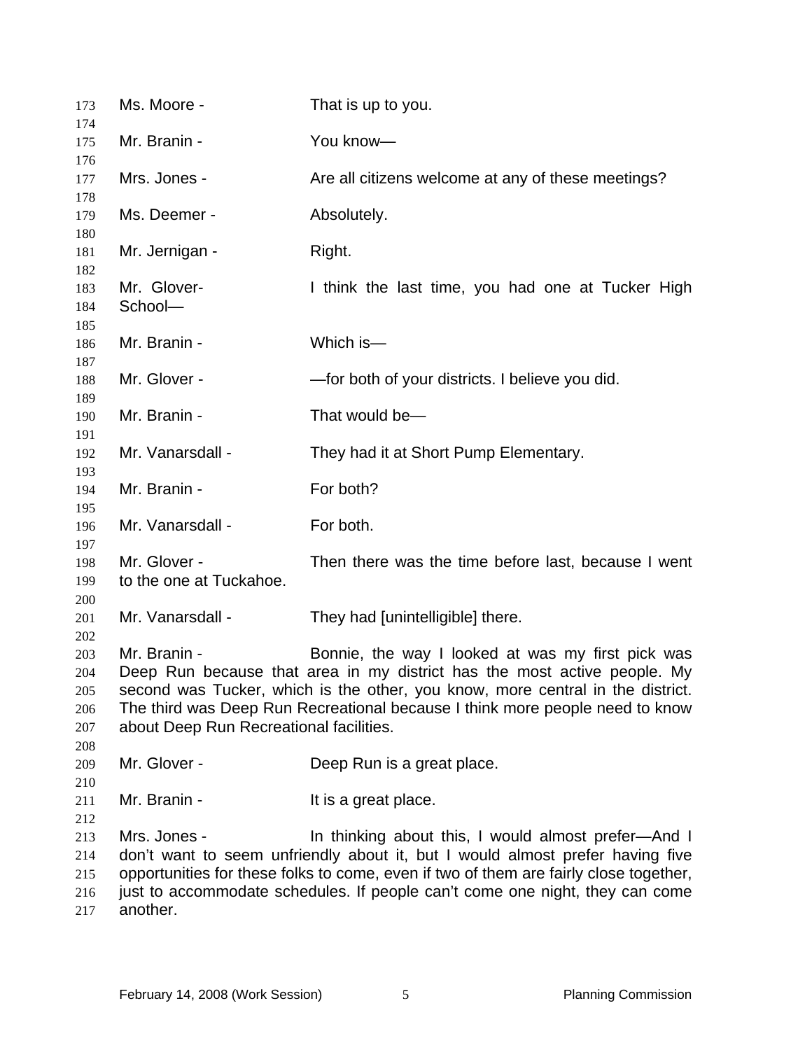| 173<br>174                             | Ms. Moore -                                                                                                                                                                                                                                                                                                                                                | That is up to you.                                                                                                                                                                                                                                                                                            |
|----------------------------------------|------------------------------------------------------------------------------------------------------------------------------------------------------------------------------------------------------------------------------------------------------------------------------------------------------------------------------------------------------------|---------------------------------------------------------------------------------------------------------------------------------------------------------------------------------------------------------------------------------------------------------------------------------------------------------------|
| 175                                    | Mr. Branin -                                                                                                                                                                                                                                                                                                                                               | You know-                                                                                                                                                                                                                                                                                                     |
| 176<br>177<br>178                      | Mrs. Jones -                                                                                                                                                                                                                                                                                                                                               | Are all citizens welcome at any of these meetings?                                                                                                                                                                                                                                                            |
| 179<br>180                             | Ms. Deemer -                                                                                                                                                                                                                                                                                                                                               | Absolutely.                                                                                                                                                                                                                                                                                                   |
| 181<br>182                             | Mr. Jernigan -                                                                                                                                                                                                                                                                                                                                             | Right.                                                                                                                                                                                                                                                                                                        |
| 183<br>184<br>185                      | Mr. Glover-<br>School-                                                                                                                                                                                                                                                                                                                                     | I think the last time, you had one at Tucker High                                                                                                                                                                                                                                                             |
| 186<br>187                             | Mr. Branin -                                                                                                                                                                                                                                                                                                                                               | Which is-                                                                                                                                                                                                                                                                                                     |
| 188<br>189                             | Mr. Glover -                                                                                                                                                                                                                                                                                                                                               | -for both of your districts. I believe you did.                                                                                                                                                                                                                                                               |
| 190<br>191                             | Mr. Branin -                                                                                                                                                                                                                                                                                                                                               | That would be-                                                                                                                                                                                                                                                                                                |
| 192<br>193                             | Mr. Vanarsdall -                                                                                                                                                                                                                                                                                                                                           | They had it at Short Pump Elementary.                                                                                                                                                                                                                                                                         |
| 194<br>195                             | Mr. Branin -                                                                                                                                                                                                                                                                                                                                               | For both?                                                                                                                                                                                                                                                                                                     |
| 196<br>197                             | Mr. Vanarsdall -                                                                                                                                                                                                                                                                                                                                           | For both.                                                                                                                                                                                                                                                                                                     |
| 198<br>199<br>200                      | Mr. Glover -<br>to the one at Tuckahoe.                                                                                                                                                                                                                                                                                                                    | Then there was the time before last, because I went                                                                                                                                                                                                                                                           |
| 201<br>202                             | Mr. Vanarsdall -                                                                                                                                                                                                                                                                                                                                           | They had [unintelligible] there.                                                                                                                                                                                                                                                                              |
| 203<br>204<br>205<br>206<br>207<br>208 | Mr. Branin -<br>Bonnie, the way I looked at was my first pick was<br>Deep Run because that area in my district has the most active people. My<br>second was Tucker, which is the other, you know, more central in the district.<br>The third was Deep Run Recreational because I think more people need to know<br>about Deep Run Recreational facilities. |                                                                                                                                                                                                                                                                                                               |
| 209<br>210                             | Mr. Glover -                                                                                                                                                                                                                                                                                                                                               | Deep Run is a great place.                                                                                                                                                                                                                                                                                    |
| 211<br>212                             | Mr. Branin -                                                                                                                                                                                                                                                                                                                                               | It is a great place.                                                                                                                                                                                                                                                                                          |
| 213<br>214<br>215<br>216<br>217        | Mrs. Jones -<br>another.                                                                                                                                                                                                                                                                                                                                   | In thinking about this, I would almost prefer-And I<br>don't want to seem unfriendly about it, but I would almost prefer having five<br>opportunities for these folks to come, even if two of them are fairly close together,<br>just to accommodate schedules. If people can't come one night, they can come |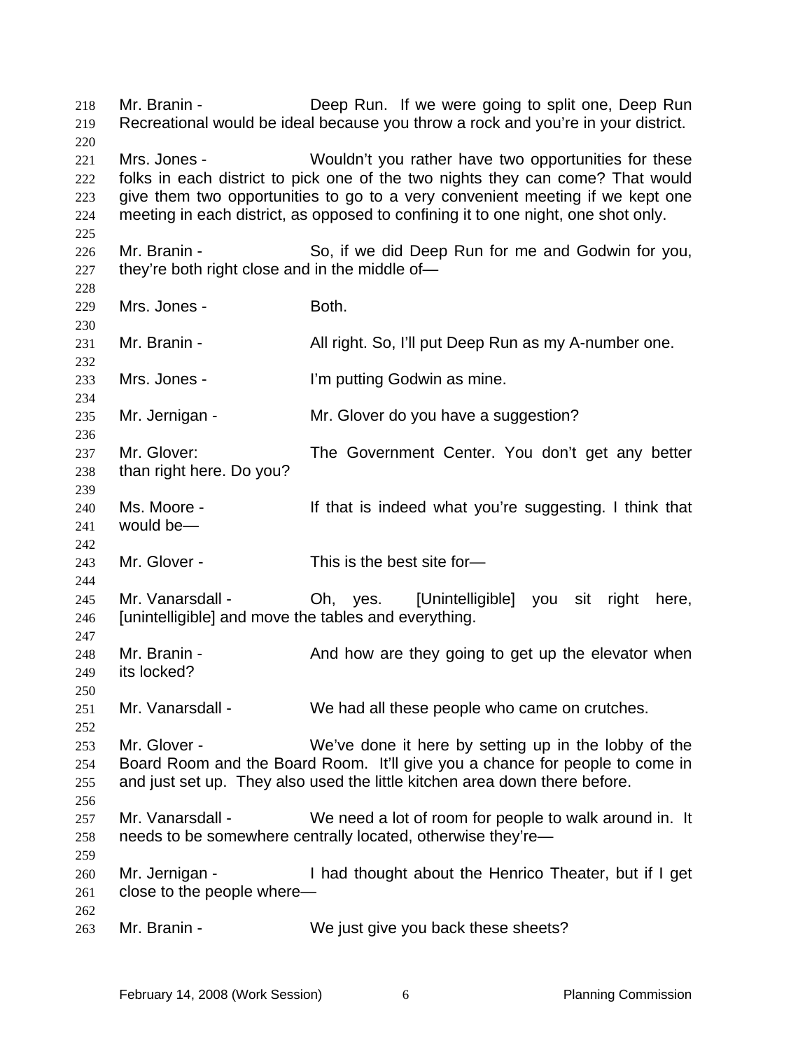Mr. Branin - The Deep Run. If we were going to split one, Deep Run Recreational would be ideal because you throw a rock and you're in your district. 218 219 220 221 222 223 224 225 226 227 228 229 230 231 232 233 234 235 236 237 238 239 240 241 242 243 244 245 246 247 248 249 250 251 252 253 254 255 256 257 258 259 260 261 262 263 Mrs. Jones - Wouldn't you rather have two opportunities for these folks in each district to pick one of the two nights they can come? That would give them two opportunities to go to a very convenient meeting if we kept one meeting in each district, as opposed to confining it to one night, one shot only. Mr. Branin - So, if we did Deep Run for me and Godwin for you, they're both right close and in the middle of— Mrs. Jones - The Both. Mr. Branin - All right. So, I'll put Deep Run as my A-number one. Mrs. Jones - I'm putting Godwin as mine. Mr. Jernigan - Mr. Glover do you have a suggestion? Mr. Glover: The Government Center. You don't get any better than right here. Do you? Ms. Moore - The Moore of that is indeed what you're suggesting. I think that would be— Mr. Glover - This is the best site for-Mr. Vanarsdall - Oh, yes. [Unintelligible] you sit right here, [unintelligible] and move the tables and everything. Mr. Branin - And how are they going to get up the elevator when its locked? Mr. Vanarsdall - We had all these people who came on crutches. Mr. Glover - We've done it here by setting up in the lobby of the Board Room and the Board Room. It'll give you a chance for people to come in and just set up. They also used the little kitchen area down there before. Mr. Vanarsdall - We need a lot of room for people to walk around in. It needs to be somewhere centrally located, otherwise they're— Mr. Jernigan - Thad thought about the Henrico Theater, but if I get close to the people where— Mr. Branin - We just give you back these sheets?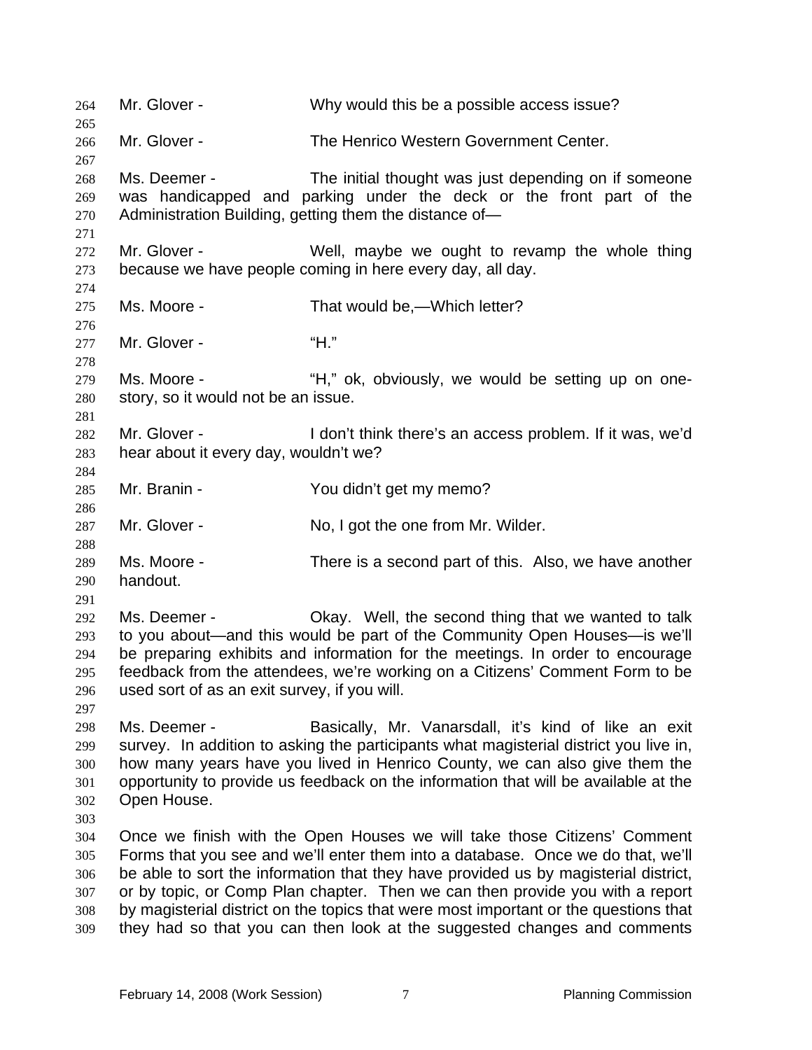264 Mr. Glover - Why would this be a possible access issue? 265 266 267 268 269 270 271 272 273 274 275 276 277 278 279 280 281 282 283 284 285 286 287 288 289 290 291 292 293 294 295 296 297 298 299 300 301 302 303 304 305 306 307 308 309 Mr. Glover - The Henrico Western Government Center. Ms. Deemer - The initial thought was just depending on if someone was handicapped and parking under the deck or the front part of the Administration Building, getting them the distance of— Mr. Glover - Well, maybe we ought to revamp the whole thing because we have people coming in here every day, all day. Ms. Moore - That would be, Which letter? Mr. Glover - "H." Ms. Moore - "H," ok, obviously, we would be setting up on onestory, so it would not be an issue. Mr. Glover - The Music on I don't think there's an access problem. If it was, we'd hear about it every day, wouldn't we? Mr. Branin - You didn't get my memo? Mr. Glover - No, I got the one from Mr. Wilder. Ms. Moore - There is a second part of this. Also, we have another handout. Ms. Deemer - Okay. Well, the second thing that we wanted to talk to you about—and this would be part of the Community Open Houses—is we'll be preparing exhibits and information for the meetings. In order to encourage feedback from the attendees, we're working on a Citizens' Comment Form to be used sort of as an exit survey, if you will. Ms. Deemer - Basically, Mr. Vanarsdall, it's kind of like an exit survey. In addition to asking the participants what magisterial district you live in, how many years have you lived in Henrico County, we can also give them the opportunity to provide us feedback on the information that will be available at the Open House. Once we finish with the Open Houses we will take those Citizens' Comment Forms that you see and we'll enter them into a database. Once we do that, we'll be able to sort the information that they have provided us by magisterial district, or by topic, or Comp Plan chapter. Then we can then provide you with a report by magisterial district on the topics that were most important or the questions that they had so that you can then look at the suggested changes and comments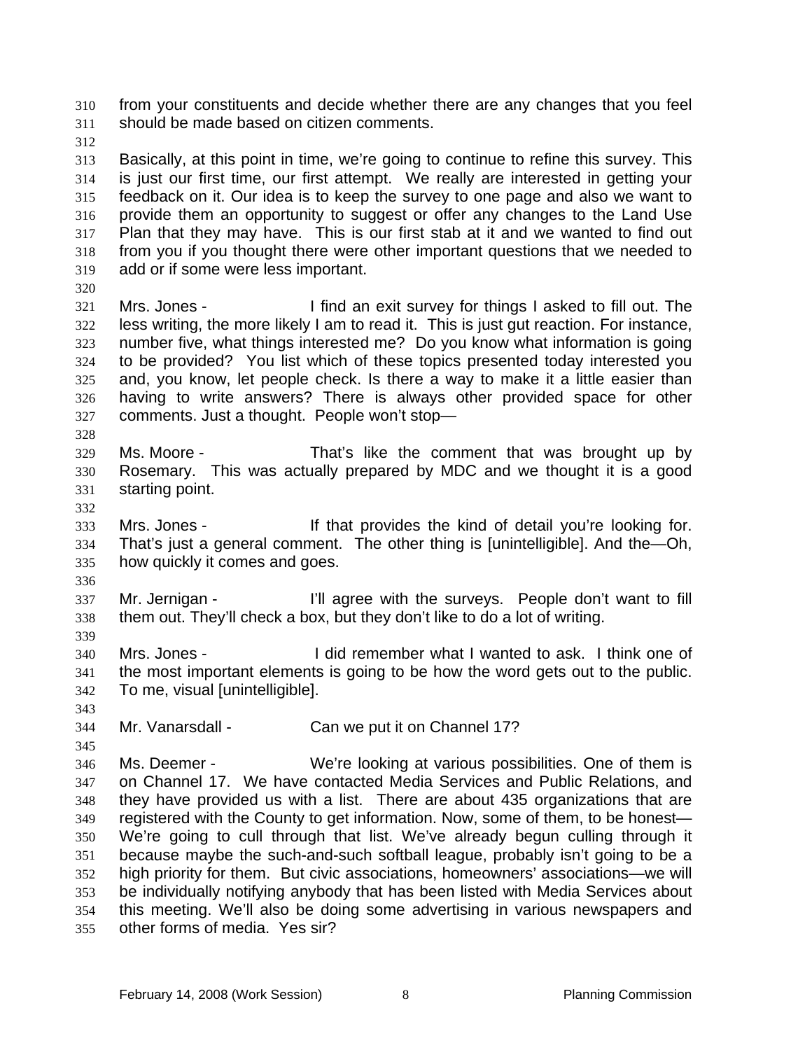from your constituents and decide whether there are any changes that you feel should be made based on citizen comments. 310 311

312

313 314 315 316 317 318 319 Basically, at this point in time, we're going to continue to refine this survey. This is just our first time, our first attempt. We really are interested in getting your feedback on it. Our idea is to keep the survey to one page and also we want to provide them an opportunity to suggest or offer any changes to the Land Use Plan that they may have. This is our first stab at it and we wanted to find out from you if you thought there were other important questions that we needed to add or if some were less important.

320

321 322 323 324 325 326 327 Mrs. Jones - I find an exit survey for things I asked to fill out. The less writing, the more likely I am to read it. This is just gut reaction. For instance, number five, what things interested me? Do you know what information is going to be provided? You list which of these topics presented today interested you and, you know, let people check. Is there a way to make it a little easier than having to write answers? There is always other provided space for other comments. Just a thought. People won't stop—

- 329 330 331 Ms. Moore - That's like the comment that was brought up by Rosemary. This was actually prepared by MDC and we thought it is a good starting point.
- 332

328

333 334 335 Mrs. Jones - If that provides the kind of detail you're looking for. That's just a general comment. The other thing is [unintelligible]. And the—Oh, how quickly it comes and goes.

336

337 338 339 Mr. Jernigan - The I'll agree with the surveys. People don't want to fill them out. They'll check a box, but they don't like to do a lot of writing.

340 341 342 Mrs. Jones - I did remember what I wanted to ask. I think one of the most important elements is going to be how the word gets out to the public. To me, visual [unintelligible].

343

345

344 Mr. Vanarsdall - Can we put it on Channel 17?

346 347 348 349 350 351 352 353 354 355 Ms. Deemer - We're looking at various possibilities. One of them is on Channel 17. We have contacted Media Services and Public Relations, and they have provided us with a list. There are about 435 organizations that are registered with the County to get information. Now, some of them, to be honest— We're going to cull through that list. We've already begun culling through it because maybe the such-and-such softball league, probably isn't going to be a high priority for them. But civic associations, homeowners' associations—we will be individually notifying anybody that has been listed with Media Services about this meeting. We'll also be doing some advertising in various newspapers and other forms of media. Yes sir?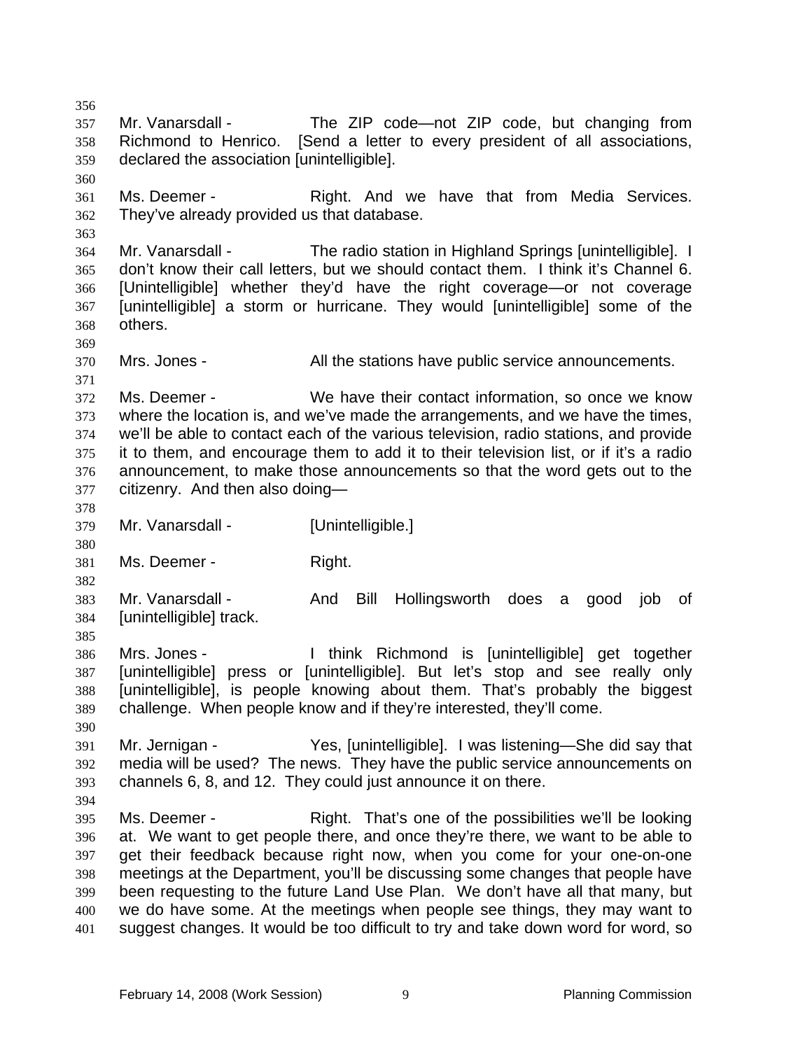356 357 358 359 360 361 362 363 364 365 366 367 368 369 370 371 372 373 374 375 376 377 378 379 380 381 382 383 384 385 386 387 388 389 390 391 392 393 394 395 396 397 398 399 400 401 Mr. Vanarsdall - The ZIP code—not ZIP code, but changing from Richmond to Henrico. [Send a letter to every president of all associations, declared the association [unintelligible]. Ms. Deemer - The Right. And we have that from Media Services. They've already provided us that database. Mr. Vanarsdall - The radio station in Highland Springs [unintelligible]. I don't know their call letters, but we should contact them. I think it's Channel 6. [Unintelligible] whether they'd have the right coverage—or not coverage [unintelligible] a storm or hurricane. They would [unintelligible] some of the others. Mrs. Jones - All the stations have public service announcements. Ms. Deemer - We have their contact information, so once we know where the location is, and we've made the arrangements, and we have the times, we'll be able to contact each of the various television, radio stations, and provide it to them, and encourage them to add it to their television list, or if it's a radio announcement, to make those announcements so that the word gets out to the citizenry. And then also doing— Mr. Vanarsdall - [Unintelligible.] Ms. Deemer - Right. Mr. Vanarsdall - And Bill Hollingsworth does a good job of [unintelligible] track. Mrs. Jones - I think Richmond is [unintelligible] get together [unintelligible] press or [unintelligible]. But let's stop and see really only [unintelligible], is people knowing about them. That's probably the biggest challenge. When people know and if they're interested, they'll come. Mr. Jernigan - Yes, [unintelligible]. I was listening—She did say that media will be used? The news. They have the public service announcements on channels 6, 8, and 12. They could just announce it on there. Ms. Deemer - That's one of the possibilities we'll be looking at. We want to get people there, and once they're there, we want to be able to get their feedback because right now, when you come for your one-on-one meetings at the Department, you'll be discussing some changes that people have been requesting to the future Land Use Plan. We don't have all that many, but we do have some. At the meetings when people see things, they may want to suggest changes. It would be too difficult to try and take down word for word, so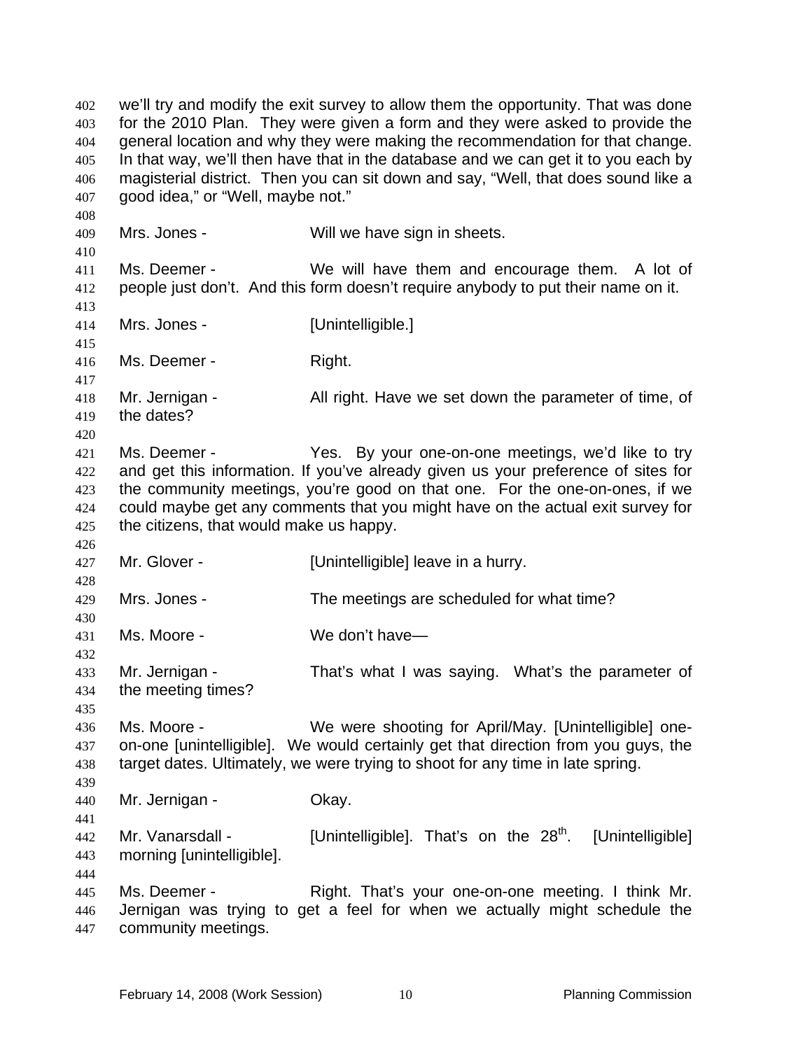we'll try and modify the exit survey to allow them the opportunity. That was done for the 2010 Plan. They were given a form and they were asked to provide the general location and why they were making the recommendation for that change. In that way, we'll then have that in the database and we can get it to you each by magisterial district. Then you can sit down and say, "Well, that does sound like a good idea," or "Well, maybe not." 402 403 404 405 406 407 408 409 410 411 412 413 414 415 416 417 418 419 420 421 422 423 424 425 426 427 428 429 430 431 432 433 434 435 436 437 438 439 440 441 442 443 444 445 446 447 Mrs. Jones - Will we have sign in sheets. Ms. Deemer - We will have them and encourage them. A lot of people just don't. And this form doesn't require anybody to put their name on it. Mrs. Jones - [Unintelligible.] Ms. Deemer - Right. Mr. Jernigan - The All right. Have we set down the parameter of time, of the dates? Ms. Deemer - The Yes. By your one-on-one meetings, we'd like to try and get this information. If you've already given us your preference of sites for the community meetings, you're good on that one. For the one-on-ones, if we could maybe get any comments that you might have on the actual exit survey for the citizens, that would make us happy. Mr. Glover - [Unintelligible] leave in a hurry. Mrs. Jones - The meetings are scheduled for what time? Ms. Moore - We don't have Mr. Jernigan - That's what I was saying. What's the parameter of the meeting times? Ms. Moore - We were shooting for April/May. [Unintelligible] oneon-one [unintelligible]. We would certainly get that direction from you guys, the target dates. Ultimately, we were trying to shoot for any time in late spring. Mr. Jernigan - Ckay. Mr. Vanarsdall - [Unintelligible]. That's on the  $28<sup>th</sup>$ . [Unintelligible] morning [unintelligible]. Ms. Deemer - Right. That's your one-on-one meeting. I think Mr. Jernigan was trying to get a feel for when we actually might schedule the community meetings.